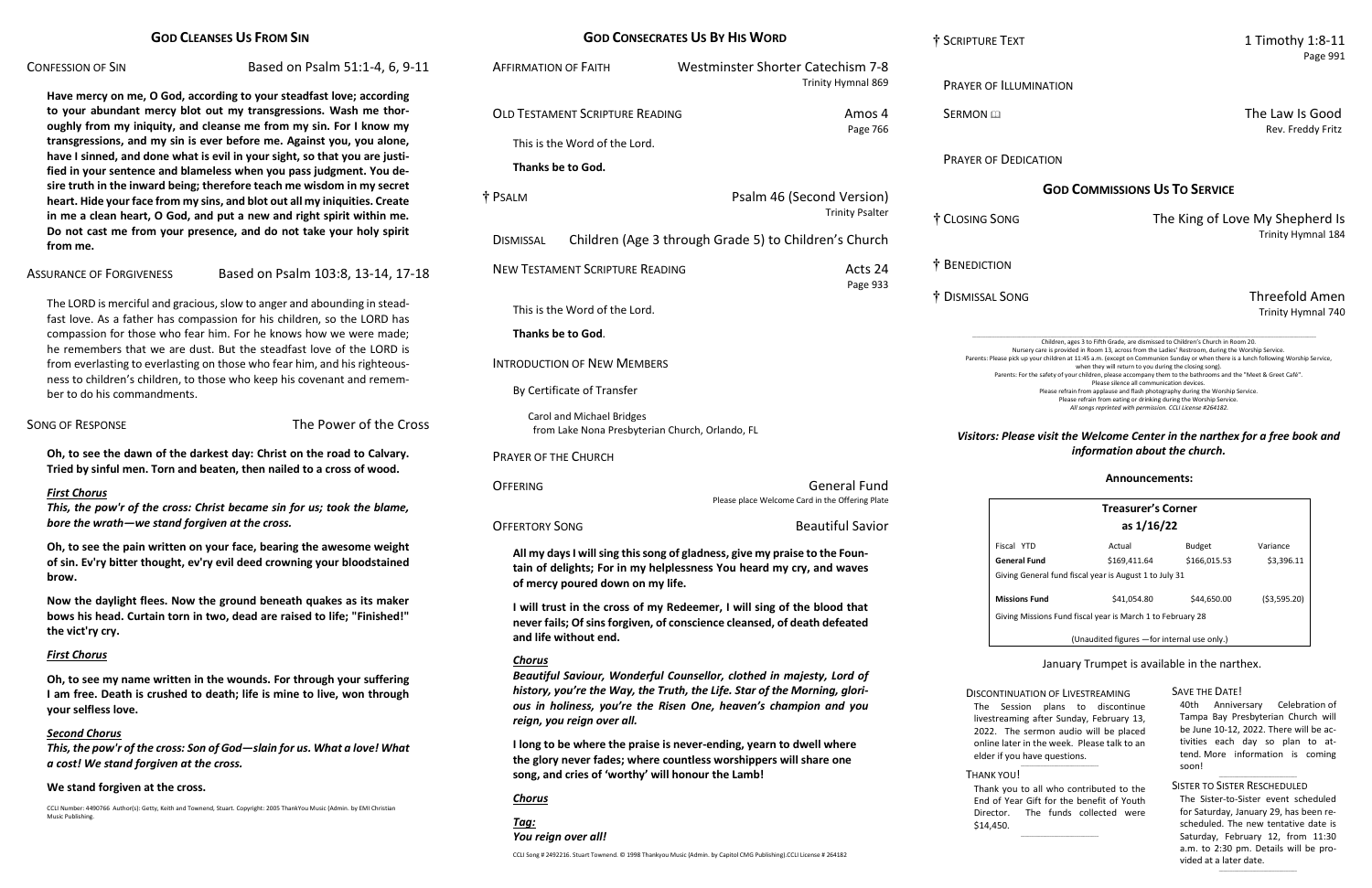# nal 184

## **GOD CLEANSES US FROM SIN**

## CONFESSION OF SIN Based on Psalm 51:1-4, 6, 9-11

**Have mercy on me, O God, according to your steadfast love; according to your abundant mercy blot out my transgressions. Wash me thoroughly from my iniquity, and cleanse me from my sin. For I know my transgressions, and my sin is ever before me. Against you, you alone, have I sinned, and done what is evil in your sight, so that you are justified in your sentence and blameless when you pass judgment. You desire truth in the inward being; therefore teach me wisdom in my secret heart. Hide your face from my sins, and blot out all my iniquities. Create in me a clean heart, O God, and put a new and right spirit within me. Do not cast me from your presence, and do not take your holy spirit from me.**

ASSURANCE OF FORGIVENESS Based on Psalm 103:8, 13-14, 17-18

The LORD is merciful and gracious, slow to anger and abounding in steadfast love. As a father has compassion for his children, so the LORD has compassion for those who fear him. For he knows how we were made; he remembers that we are dust. But the steadfast love of the LORD is from everlasting to everlasting on those who fear him, and his righteousness to children's children, to those who keep his covenant and remember to do his commandments.

SONG OF RESPONSE The Power of the Cross

**Oh, to see the dawn of the darkest day: Christ on the road to Calvary. Tried by sinful men. Torn and beaten, then nailed to a cross of wood.**

### *First Chorus*

*This, the pow'r of the cross: Christ became sin for us; took the blame, bore the wrath—we stand forgiven at the cross.*

**Oh, to see the pain written on your face, bearing the awesome weight of sin. Ev'ry bitter thought, ev'ry evil deed crowning your bloodstained brow.** 

**Now the daylight flees. Now the ground beneath quakes as its maker bows his head. Curtain torn in two, dead are raised to life; "Finished!" the vict'ry cry.** 

| <b>AFFIRMATION OF FAITH</b>                                                                                                                                                                   | Westminster Shorter Catechism 7-8                                                                                                                   |                                                                                                                                                                                                                                                                                                                                                                                                                                                                                        |                                                                                                                                                                                       |                                 | Page 991                              |  |
|-----------------------------------------------------------------------------------------------------------------------------------------------------------------------------------------------|-----------------------------------------------------------------------------------------------------------------------------------------------------|----------------------------------------------------------------------------------------------------------------------------------------------------------------------------------------------------------------------------------------------------------------------------------------------------------------------------------------------------------------------------------------------------------------------------------------------------------------------------------------|---------------------------------------------------------------------------------------------------------------------------------------------------------------------------------------|---------------------------------|---------------------------------------|--|
|                                                                                                                                                                                               | Trinity Hymnal 869                                                                                                                                  |                                                                                                                                                                                                                                                                                                                                                                                                                                                                                        | <b>PRAYER OF ILLUMINATION</b>                                                                                                                                                         |                                 |                                       |  |
| <b>OLD TESTAMENT SCRIPTURE READING</b>                                                                                                                                                        | Amos 4<br>Page 766                                                                                                                                  | <b>SERMON E</b>                                                                                                                                                                                                                                                                                                                                                                                                                                                                        |                                                                                                                                                                                       |                                 | The Law Is Good<br>Rev. Freddy Fritz  |  |
| This is the Word of the Lord.                                                                                                                                                                 |                                                                                                                                                     |                                                                                                                                                                                                                                                                                                                                                                                                                                                                                        |                                                                                                                                                                                       |                                 |                                       |  |
| Thanks be to God.                                                                                                                                                                             |                                                                                                                                                     | <b>PRAYER OF DEDICATION</b>                                                                                                                                                                                                                                                                                                                                                                                                                                                            |                                                                                                                                                                                       |                                 |                                       |  |
| † PSALM                                                                                                                                                                                       | Psalm 46 (Second Version)                                                                                                                           |                                                                                                                                                                                                                                                                                                                                                                                                                                                                                        | <b>GOD COMMISSIONS US TO SERVICE</b>                                                                                                                                                  |                                 |                                       |  |
|                                                                                                                                                                                               | <b>Trinity Psalter</b>                                                                                                                              | † CLOSING SONG                                                                                                                                                                                                                                                                                                                                                                                                                                                                         |                                                                                                                                                                                       | The King of Love My Shepherd Is |                                       |  |
| <b>DISMISSAL</b>                                                                                                                                                                              | Children (Age 3 through Grade 5) to Children's Church                                                                                               |                                                                                                                                                                                                                                                                                                                                                                                                                                                                                        |                                                                                                                                                                                       |                                 | Trinity Hymnal 184                    |  |
| <b>NEW TESTAMENT SCRIPTURE READING</b>                                                                                                                                                        | Acts 24<br>Page 933                                                                                                                                 | † BENEDICTION                                                                                                                                                                                                                                                                                                                                                                                                                                                                          |                                                                                                                                                                                       |                                 |                                       |  |
| This is the Word of the Lord.                                                                                                                                                                 |                                                                                                                                                     | † DISMISSAL SONG                                                                                                                                                                                                                                                                                                                                                                                                                                                                       |                                                                                                                                                                                       |                                 | <b>Threefold Amen</b>                 |  |
|                                                                                                                                                                                               |                                                                                                                                                     |                                                                                                                                                                                                                                                                                                                                                                                                                                                                                        |                                                                                                                                                                                       |                                 | Trinity Hymnal 740                    |  |
| Thanks be to God.                                                                                                                                                                             |                                                                                                                                                     |                                                                                                                                                                                                                                                                                                                                                                                                                                                                                        | Children, ages 3 to Fifth Grade, are dismissed to Children's Church in Room 20.<br>Nursery care is provided in Room 13, across from the Ladies' Restroom, during the Worship Service. |                                 |                                       |  |
| <b>INTRODUCTION OF NEW MEMBERS</b>                                                                                                                                                            |                                                                                                                                                     | Parents: Please pick up your children at 11:45 a.m. (except on Communion Sunday or when there is a lunch following Worship Service,<br>when they will return to you during the closing song).<br>Parents: For the safety of your children, please accompany them to the bathrooms and the "Meet & Greet Café".<br>Please silence all communication devices                                                                                                                             |                                                                                                                                                                                       |                                 |                                       |  |
| By Certificate of Transfer                                                                                                                                                                    |                                                                                                                                                     | Please refrain from applause and flash photography during the Worship Service.<br>Please refrain from eating or drinking during the Worship Service.                                                                                                                                                                                                                                                                                                                                   |                                                                                                                                                                                       |                                 |                                       |  |
| Carol and Michael Bridges<br>from Lake Nona Presbyterian Church, Orlando, FL                                                                                                                  |                                                                                                                                                     | Visitors: Please visit the Welcome Center in the narthex for a free book and                                                                                                                                                                                                                                                                                                                                                                                                           | All songs reprinted with permission. CCLI License #264182.                                                                                                                            |                                 |                                       |  |
| <b>PRAYER OF THE CHURCH</b>                                                                                                                                                                   |                                                                                                                                                     |                                                                                                                                                                                                                                                                                                                                                                                                                                                                                        | information about the church.                                                                                                                                                         |                                 |                                       |  |
| <b>OFFERING</b>                                                                                                                                                                               | <b>General Fund</b>                                                                                                                                 |                                                                                                                                                                                                                                                                                                                                                                                                                                                                                        | Announcements:                                                                                                                                                                        |                                 |                                       |  |
|                                                                                                                                                                                               | Please place Welcome Card in the Offering Plate                                                                                                     |                                                                                                                                                                                                                                                                                                                                                                                                                                                                                        | <b>Treasurer's Corner</b>                                                                                                                                                             |                                 |                                       |  |
| <b>OFFERTORY SONG</b>                                                                                                                                                                         | <b>Beautiful Savior</b>                                                                                                                             |                                                                                                                                                                                                                                                                                                                                                                                                                                                                                        |                                                                                                                                                                                       | as $1/16/22$                    |                                       |  |
| of mercy poured down on my life.                                                                                                                                                              | All my days I will sing this song of gladness, give my praise to the Foun-<br>tain of delights; For in my helplessness You heard my cry, and waves  | Fiscal YTD<br><b>General Fund</b>                                                                                                                                                                                                                                                                                                                                                                                                                                                      | Actual<br>\$169,411.64<br>Giving General fund fiscal year is August 1 to July 31                                                                                                      | <b>Budget</b><br>\$166,015.53   | Variance<br>\$3,396.11                |  |
|                                                                                                                                                                                               |                                                                                                                                                     | <b>Missions Fund</b>                                                                                                                                                                                                                                                                                                                                                                                                                                                                   | \$41,054.80                                                                                                                                                                           | \$44,650.00                     | ( \$3,595.20)                         |  |
|                                                                                                                                                                                               | I will trust in the cross of my Redeemer, I will sing of the blood that<br>never fails; Of sins forgiven, of conscience cleansed, of death defeated |                                                                                                                                                                                                                                                                                                                                                                                                                                                                                        | Giving Missions Fund fiscal year is March 1 to February 28                                                                                                                            |                                 |                                       |  |
| and life without end.                                                                                                                                                                         |                                                                                                                                                     |                                                                                                                                                                                                                                                                                                                                                                                                                                                                                        | (Unaudited figures - for internal use only.)                                                                                                                                          |                                 |                                       |  |
| <b>Chorus</b>                                                                                                                                                                                 | Beautiful Saviour, Wonderful Counsellor, clothed in majesty, Lord of                                                                                |                                                                                                                                                                                                                                                                                                                                                                                                                                                                                        | January Trumpet is available in the narthex.                                                                                                                                          |                                 |                                       |  |
| history, you're the Way, the Truth, the Life. Star of the Morning, glori-<br>ous in holiness, you're the Risen One, heaven's champion and you<br>reign, you reign over all.                   |                                                                                                                                                     | SAVE THE DATE!<br><b>DISCONTINUATION OF LIVESTREAMING</b><br>Celebration of<br>40th Anniversary<br>The Session plans to discontinue<br>Tampa Bay Presbyterian Church will<br>livestreaming after Sunday, February 13,<br>be June 10-12, 2022. There will be ac-<br>2022. The sermon audio will be placed<br>tivities each day so plan to at-<br>online later in the week. Please talk to an<br>tend. More information is coming<br>elder if you have questions.<br>soon!<br>THANK YOU! |                                                                                                                                                                                       |                                 |                                       |  |
| I long to be where the praise is never-ending, yearn to dwell where<br>the glory never fades; where countless worshippers will share one<br>song, and cries of 'worthy' will honour the Lamb! |                                                                                                                                                     |                                                                                                                                                                                                                                                                                                                                                                                                                                                                                        |                                                                                                                                                                                       |                                 |                                       |  |
| <b>Chorus</b>                                                                                                                                                                                 |                                                                                                                                                     |                                                                                                                                                                                                                                                                                                                                                                                                                                                                                        | <b>SISTER TO SISTER RESCHEDULED</b><br>Thank you to all who contributed to the<br>The Sister-to-Sister event scheduled<br>End of Year Gift for the benefit of Youth                   |                                 |                                       |  |
| <u>Tag:</u><br>You reign over all!                                                                                                                                                            |                                                                                                                                                     | for Saturday, January 29, has been re-<br>The funds collected were<br>Director.<br>scheduled. The new tentative date is<br>\$14,450.<br>Saturday, February 12, from 11:30                                                                                                                                                                                                                                                                                                              |                                                                                                                                                                                       |                                 |                                       |  |
|                                                                                                                                                                                               | CCLI Song # 2492216. Stuart Townend. © 1998 Thankvou Music (Admin. by Capitol CMG Publishing).CCLI License # 264182                                 |                                                                                                                                                                                                                                                                                                                                                                                                                                                                                        |                                                                                                                                                                                       |                                 | a.m. to 2:30 pm. Details will be pro- |  |

### *First Chorus*

eduled en redate is 11:30 provided at a later date.

 $\_$ 

**Oh, to see my name written in the wounds. For through your suffering I am free. Death is crushed to death; life is mine to live, won through your selfless love.**

### *Second Chorus*

*This, the pow'r of the cross: Son of God—slain for us. What a love! What a cost! We stand forgiven at the cross.*

## **We stand forgiven at the cross.**

CCLI Number: 4490766 Author(s): Getty, Keith and Townend, Stuart. Copyright: 2005 ThankYou Music (Admin. by EMI Christian Music Publishing.

**GOD CONSECRATES US BY HIS WORD**